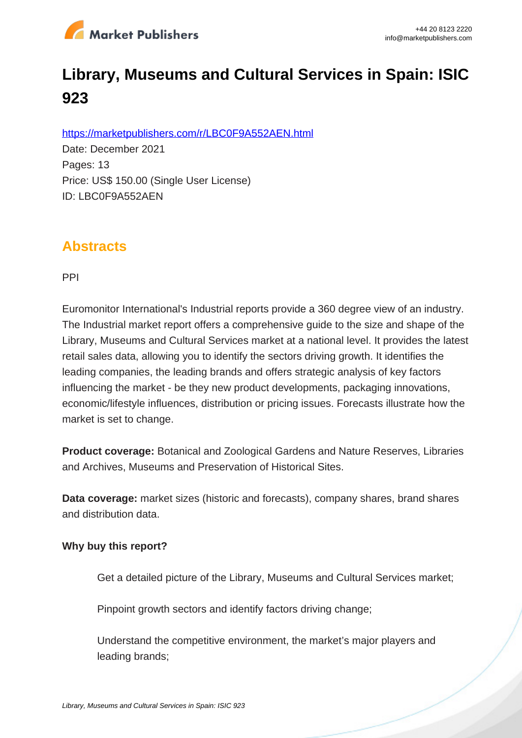

# **Library, Museums and Cultural Services in Spain: ISIC 923**

https://marketpublishers.com/r/LBC0F9A552AEN.html

Date: December 2021 Pages: 13 Price: US\$ 150.00 (Single User License) ID: LBC0F9A552AEN

## **Abstracts**

PPI

Euromonitor International's Industrial reports provide a 360 degree view of an industry. The Industrial market report offers a comprehensive guide to the size and shape of the Library, Museums and Cultural Services market at a national level. It provides the latest retail sales data, allowing you to identify the sectors driving growth. It identifies the leading companies, the leading brands and offers strategic analysis of key factors influencing the market - be they new product developments, packaging innovations, economic/lifestyle influences, distribution or pricing issues. Forecasts illustrate how the market is set to change.

**Product coverage:** Botanical and Zoological Gardens and Nature Reserves, Libraries and Archives, Museums and Preservation of Historical Sites.

**Data coverage:** market sizes (historic and forecasts), company shares, brand shares and distribution data.

#### **Why buy this report?**

Get a detailed picture of the Library, Museums and Cultural Services market;

Pinpoint growth sectors and identify factors driving change:

Understand the competitive environment, the market's major players and leading brands;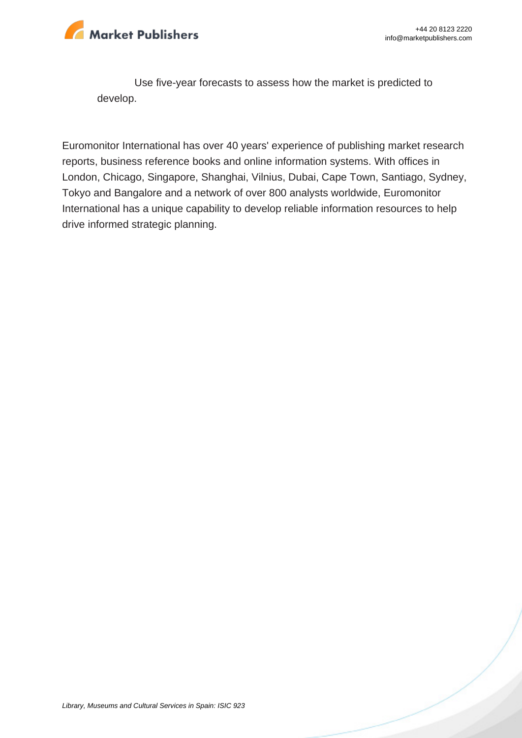

Use five-year forecasts to assess how the market is predicted to develop.

Euromonitor International has over 40 years' experience of publishing market research reports, business reference books and online information systems. With offices in London, Chicago, Singapore, Shanghai, Vilnius, Dubai, Cape Town, Santiago, Sydney, Tokyo and Bangalore and a network of over 800 analysts worldwide, Euromonitor International has a unique capability to develop reliable information resources to help drive informed strategic planning.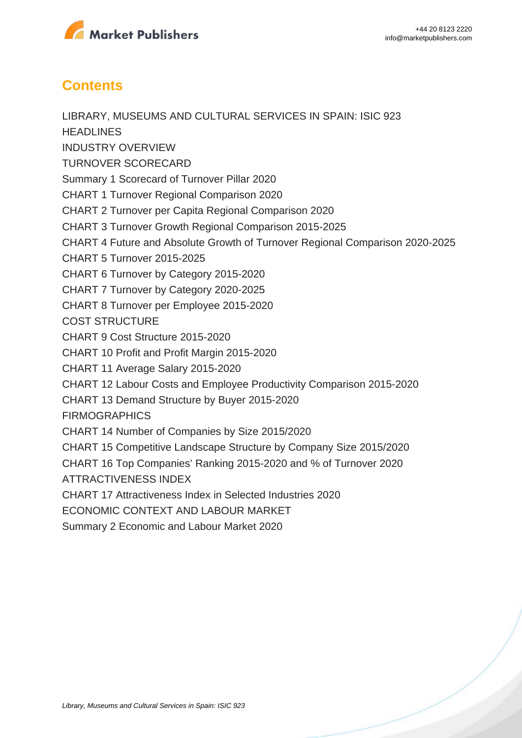

### **Contents**

LIBRARY, MUSEUMS AND CULTURAL SERVICES IN SPAIN: ISIC 923 **HEADLINES** INDUSTRY OVERVIEW TURNOVER SCORECARD Summary 1 Scorecard of Turnover Pillar 2020 CHART 1 Turnover Regional Comparison 2020 CHART 2 Turnover per Capita Regional Comparison 2020 CHART 3 Turnover Growth Regional Comparison 2015-2025 CHART 4 Future and Absolute Growth of Turnover Regional Comparison 2020-2025 CHART 5 Turnover 2015-2025 CHART 6 Turnover by Category 2015-2020 CHART 7 Turnover by Category 2020-2025 CHART 8 Turnover per Employee 2015-2020 COST STRUCTURE CHART 9 Cost Structure 2015-2020 CHART 10 Profit and Profit Margin 2015-2020 CHART 11 Average Salary 2015-2020 CHART 12 Labour Costs and Employee Productivity Comparison 2015-2020 CHART 13 Demand Structure by Buyer 2015-2020 **FIRMOGRAPHICS** CHART 14 Number of Companies by Size 2015/2020 CHART 15 Competitive Landscape Structure by Company Size 2015/2020 CHART 16 Top Companies' Ranking 2015-2020 and % of Turnover 2020 ATTRACTIVENESS INDEX CHART 17 Attractiveness Index in Selected Industries 2020 ECONOMIC CONTEXT AND LABOUR MARKET Summary 2 Economic and Labour Market 2020